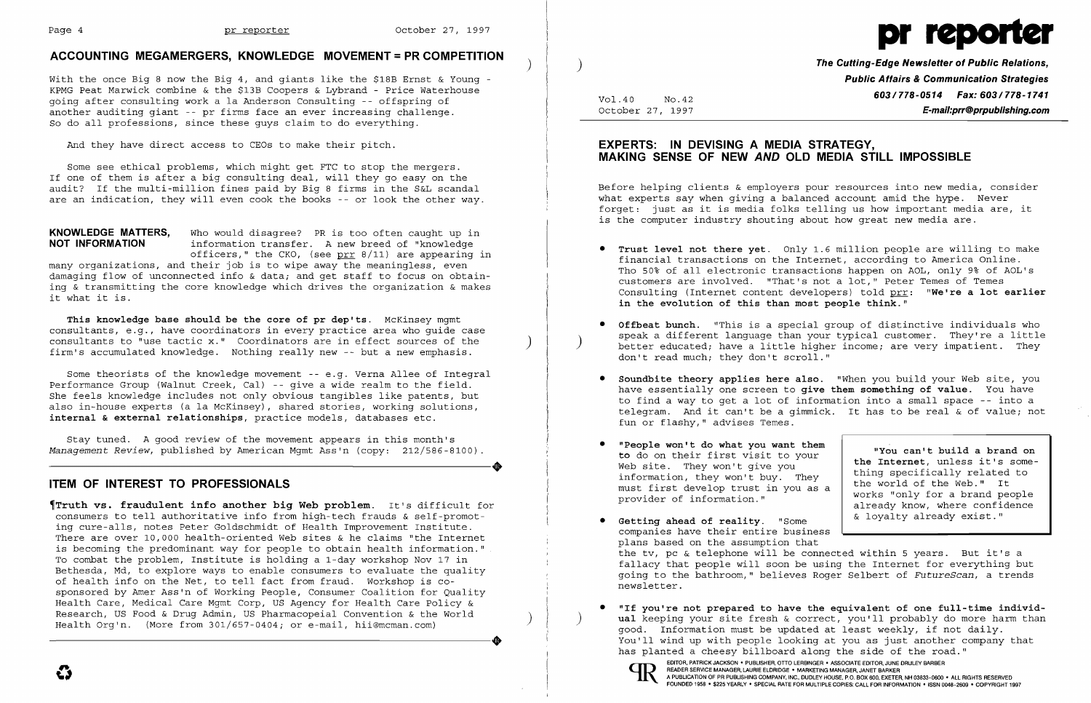#### Page 4 **pr reporter**

# **ACCOUNTING MEGAMERGERS, KNOWLEDGE MOVEMENT = PR COMPETITION** )

with the once Big 8 now the Big 4, and giants like the \$18B Ernst & Young KPMG Peat Marwick combine & the \$13B Coopers & Lybrand - Price Waterhouse going after consulting work a la Anderson Consulting -- offspring of another auditing giant -- pr firms face an ever increasing challenge. So do all professions, since these guys claim to do everything.

And they have direct access to CEOs to make their pitch.

**This knowledge base should be the core of pr dep'ts.** McKinsey mgmt consultants, e.g., have coordinators in every practice area who guide case consultants to "use tactic x." Coordinators are in effect sources of the firm's accumulated knowledge. Nothing really new -- but a new emphasis.

Some see ethical problems, which might get FTC to stop the mergers. If one of them is after a big consulting deal, will they go easy on the audit? If the multi-million fines paid by Big 8 firms in the S&L scandal are an indication, they will even cook the books -- or look the other way.

Stay tuned. A good review of the movement appears in this month's *Management Review,* published by American Mgmt Ass'n (copy: 212/586-8100) Stay tuned. A good review of the movement appears in this month's<br>Management Review, published by American Mgmt Ass'n (copy: 212/586-8100).

**KNOWLEDGE MATTERS,** Who would disagree? PR is too often caught up in information transfer. A new breed of "knowledge officers," the CKO, (see  $prr 8/11$ ) are appearing in many organizations, and their job is to wipe away the meaningless, even damaging flow of unconnected info & data; and get staff to focus on obtaining & transmitting the core knowledge which drives the organization & makes it what it is.

~Truth **vs. fraudulent info another big Web problem.** It's difficult for consumers to tell authoritative info from high-tech frauds & self-promoting cure-alls, notes Peter Goldschmidt of Health Improvement Institute. There are over 10,000 health-oriented Web sites & he claims "the Internet is becoming the predominant way for people to obtain health information." To combat the problem, Institute is holding a 1-day workshop Nov 17 in Bethesda, Md, to explore ways to enable consumers to evaluate the quality of health info on the Net, to tell fact from fraud. Workshop is cosponsored by Amer Ass'n of Working People, Consumer Coalition for Quality Health Care, Medical Care Mgmt Corp, US Agency for Health Care Policy & Research, US Food & Drug Admin, US Pharmacopeial Convention & the World Health Org'n. (More from 301/657-0404; or e-mail, hii@mcman.com)

Some theorists of the knowledge movement -- e.g. Verna Allee of Integral Performance Group (Walnut Creek, Cal) -- give a wide realm to the field. She feels knowledge includes not only obvious tangibles like patents, but also in-house experts (a la McKinsey), shared stories, working solutions, **internal & external relationships,** practice models, databases etc.

**• Offbeat bunch.** "This is a special group of distinctive individuals who better educated; have a little higher income; are very impatient. They

# **ITEM OF INTEREST TO PROFESSIONALS**



) **The Cutting-Edge Newsletter of Public Relations, Public Affairs & Communication Strategies 603/778-0514 Fax: 603/778-1741** Vol.40 NO.42 October 27, 1997 **E-mail:prr@prpublishing.com** 

# **EXPERTS: IN DEVISING A MEDIA STRATEGY, MAKING SENSE OF NEW AND OLD MEDIA STILL IMPOSSIBLE**

Before helping clients & employers pour resources into new media, consider what experts say when *giving* a balanced account amid the hype. Never forget: just as it is media folks telling us how important media are, it is the computer industry shouting about how great new media are.

financial transactions on the Internet, according to America Online. Tho 50% of all electronic transactions happen on AOL, only 9% of AOL's customers are involved. "That's not a lot," Peter Temes of Temes Consulting (Internet content developers) told prr: **"We're a lot earlier** 

have essentially one screen to **give them something of value.** You have to find a way to get a lot of information into a small space -- into a telegram. And it can't be a gimmick. It has to be real & of value; not

- **• Trust level not there yet.** Only 1.6 million people are willing to make **in the evolution of this than most people think."**
- don't read much; they don't scroll."
- **• Soundbite theory applies here also.** "When you build your Web site, you fun or flashy," advises Temes.
- • **"People won't do what you want them to** do on their first visit to your Web site. They won't give you information, they won't buy. They must first develop trust in you as a provider of information."
- • **Getting ahead of reality.** "Some companies have their entire business plans based on the assumption that newsletter.
- has planted a cheesy billboard along the side of the road."

EDITOR, PATRICK JACKSON . PUBLISHER, OTTO LERBINGER . ASSOCIATE EDITOR, JUNE DRULEY BARBER<br>READER SERVICE MANAGER, LAURIE ELDRIDGE . MARKETING MANAGER, JANET BARKER<br>FOUNDED 1958 . \$225 YEARLY . SPECIAL RATE FOR MULTIPLE CO FOUNDED 1958 · \$225 YEARLY · SPECIAL RATE FOR MULTIPLE COPIES: CALL FOR INFORMATION · ISSN 0048-2609 · COPYRIGHT 1997

**"You can't build a brand on the Internet,** unless it's something specifically related to the world of the Web." It works "only for a brand people already know, where confidence & loyalty already exist."

the tv, pc & telephone will be connected within 5 years. But it's a fallacy that people will soon be using the Internet for everything but going to the bathroom," believes Roger Selbert of *FutureScan,* a trends

• **"If you're not prepared to have the equivalent of one full-time individ** ual keeping your site fresh & correct, you'll probably do more harm than good. Information must be updated at least weekly, if not daily. You'll wind up with people looking at you as just another company that